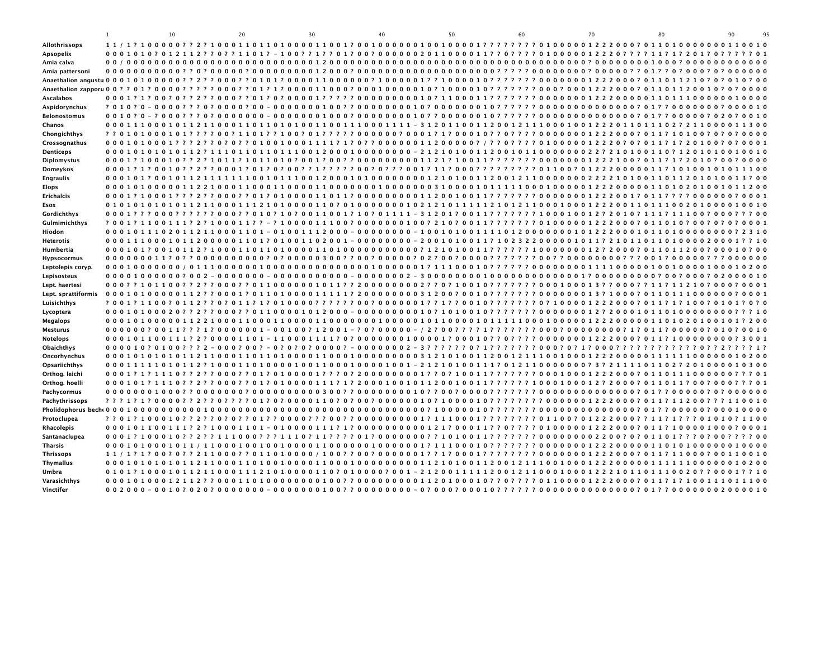|                            | $\mathbf{1}$ | 10 | 20 | 30 | 40 | 50 | 60 | 70 | 80                                                                                              | 90<br>95 |
|----------------------------|--------------|----|----|----|----|----|----|----|-------------------------------------------------------------------------------------------------|----------|
| Allothrissops              |              |    |    |    |    |    |    |    |                                                                                                 |          |
| Apsopelix                  |              |    |    |    |    |    |    |    | 0001010?012112??0??1101?-100??1??01?00?0000002011000011??0????010000012220????11?1?201?0?       |          |
| Amia calva                 |              |    |    |    |    |    |    |    |                                                                                                 |          |
| Amia pattersoni            |              |    |    |    |    |    |    |    |                                                                                                 |          |
|                            |              |    |    |    |    |    |    |    |                                                                                                 |          |
|                            |              |    |    |    |    |    |    |    |                                                                                                 |          |
| <b>Ascalabos</b>           |              |    |    |    |    |    |    |    |                                                                                                 | 0000     |
| Aspidorynchus              |              |    |    |    |    |    |    |    |                                                                                                 |          |
| <b>Belonostomus</b>        |              |    |    |    |    |    |    |    |                                                                                                 | 0010     |
| Chanos                     |              |    |    |    |    |    |    |    | 0001110001011211000110110100011001110001111-3120110011200121110001001222011011102?21100001      |          |
| Chongichthys               |              |    |    |    |    |    |    |    |                                                                                                 |          |
| Crossognathus              |              |    |    |    |    |    |    |    | 0001010001???2??0?0??010010001111?1?0??00000011200000?/??0????010000012220?0?011?1?20100?0?0001 |          |
| <b>Denticeps</b>           |              |    |    |    |    |    |    |    | 00010101010112?1110110110111001200010000000-21210100112001011000000022?210100110?1201010010010  |          |
| Diplomystus                |              |    |    |    |    |    |    |    |                                                                                                 |          |
| Domeykos                   |              |    |    |    |    |    |    |    |                                                                                                 |          |
| <b>Engraulis</b>           |              |    |    |    |    |    |    |    |                                                                                                 |          |
| <b>Elops</b>               |              |    |    |    |    |    |    |    |                                                                                                 |          |
| <b>Erichalcis</b>          |              |    |    |    |    |    |    |    |                                                                                                 |          |
| <b>Esox</b>                |              |    |    |    |    |    |    |    |                                                                                                 |          |
| Gordichthys                |              |    |    |    |    |    |    |    | 0001???000??????000??010?10?0011001?10?01111-31201?0011??????100010012?2010?111?11100?000???00  |          |
| Gulmimichthys              |              |    |    |    |    |    |    |    | ?001?1100111?2?100011??-?1000011100?0000000100?210?0011???????01000001222000?011010?00?0?0?0001 |          |
|                            |              |    |    |    |    |    |    |    |                                                                                                 |          |
| Hiodon<br><b>Heterotis</b> |              |    |    |    |    |    |    |    | 00011100010112000001101?01001102001-00000000-2001010011?102322000001011?2101101101000020001??10 |          |
|                            |              |    |    |    |    |    |    |    |                                                                                                 |          |
| Humbertia                  |              |    |    |    |    |    |    |    |                                                                                                 | 0000     |
| <b>Hypsocormus</b>         |              |    |    |    |    |    |    |    |                                                                                                 |          |
| Leptolepis coryp.          |              |    |    |    |    |    |    |    |                                                                                                 |          |
| Lepisosteus                |              |    |    |    |    |    |    |    |                                                                                                 |          |
| Lept. haertesi             |              |    |    |    |    |    |    |    |                                                                                                 |          |
| Lept. sprattiformis        |              |    |    |    |    |    |    |    |                                                                                                 |          |
| Luisichthys                |              |    |    |    |    |    |    |    |                                                                                                 |          |
| Lycoptera                  |              |    |    |    |    |    |    |    |                                                                                                 |          |
| Megalops                   |              |    |    |    |    |    |    |    |                                                                                                 |          |
| <b>Mesturus</b>            |              |    |    |    |    |    |    |    | 000000?0011???1?0000001-00100?12001-?0?00000-/2?00????1??????000?0000000?1?011?00000?010?0010   |          |
| <b>Notelops</b>            |              |    |    |    |    |    |    |    |                                                                                                 | 3001     |
| Obaichthys                 |              |    |    |    |    |    |    |    |                                                                                                 |          |
| Oncorhynchus               |              |    |    |    |    |    |    |    |                                                                                                 |          |
| Opsariichthys              |              |    |    |    |    |    |    |    |                                                                                                 |          |
| Orthog. leichi             |              |    |    |    |    |    |    |    |                                                                                                 |          |
| Orthog. hoelli             |              |    |    |    |    |    |    |    |                                                                                                 |          |
| Pachycormus                |              |    |    |    |    |    |    |    |                                                                                                 |          |
| Pachythrissops             |              |    |    |    |    |    |    |    |                                                                                                 | 0010     |
|                            |              |    |    |    |    |    |    |    |                                                                                                 |          |
| Protoclupea                |              |    |    |    |    |    |    |    |                                                                                                 |          |
| Rhacolepis                 |              |    |    |    |    |    |    |    |                                                                                                 |          |
| Santanaclupea              |              |    |    |    |    |    |    |    |                                                                                                 |          |
| <b>Tharsis</b>             |              |    |    |    |    |    |    |    |                                                                                                 |          |
| <b>Thrissops</b>           |              |    |    |    |    |    |    |    |                                                                                                 |          |
| <b>Thymallus</b>           |              |    |    |    |    |    |    |    |                                                                                                 |          |
| Umbra                      |              |    |    |    |    |    |    |    | 0101?1000101121100011121010000110?010000?001-2120011111200121100010001222101101110020??0001??10 |          |
| Varasichthys               |              |    |    |    |    |    |    |    |                                                                                                 |          |
| Vinctifer                  |              |    |    |    |    |    |    |    |                                                                                                 |          |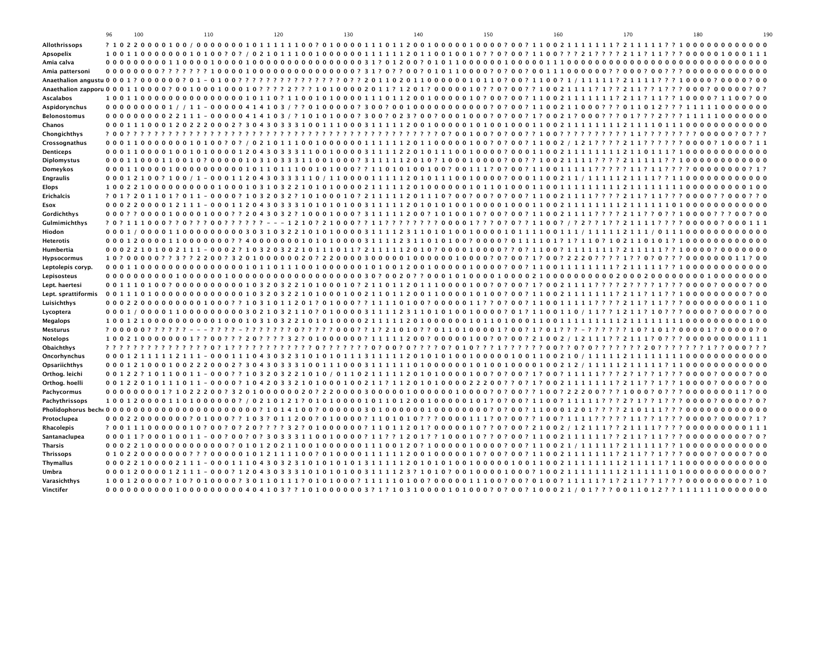|                     | 96 | 100 |  |  | 110 |  |  | 120 |  |  | 130 |  |  | 140 |  |  | 150 |                                                                                                                                                                                       |  | 160 |  | 170 |  |  | 180 |  |  | 190 |
|---------------------|----|-----|--|--|-----|--|--|-----|--|--|-----|--|--|-----|--|--|-----|---------------------------------------------------------------------------------------------------------------------------------------------------------------------------------------|--|-----|--|-----|--|--|-----|--|--|-----|
| Allothrissops       |    |     |  |  |     |  |  |     |  |  |     |  |  |     |  |  |     |                                                                                                                                                                                       |  |     |  |     |  |  |     |  |  |     |
| Apsopelix           |    |     |  |  |     |  |  |     |  |  |     |  |  |     |  |  |     |                                                                                                                                                                                       |  |     |  |     |  |  |     |  |  |     |
| Amia calva          |    |     |  |  |     |  |  |     |  |  |     |  |  |     |  |  |     |                                                                                                                                                                                       |  |     |  |     |  |  |     |  |  |     |
| Amia pattersoni     |    |     |  |  |     |  |  |     |  |  |     |  |  |     |  |  |     |                                                                                                                                                                                       |  |     |  |     |  |  |     |  |  |     |
|                     |    |     |  |  |     |  |  |     |  |  |     |  |  |     |  |  |     |                                                                                                                                                                                       |  |     |  |     |  |  |     |  |  |     |
|                     |    |     |  |  |     |  |  |     |  |  |     |  |  |     |  |  |     |                                                                                                                                                                                       |  |     |  |     |  |  |     |  |  |     |
| <b>Ascalabos</b>    |    |     |  |  |     |  |  |     |  |  |     |  |  |     |  |  |     |                                                                                                                                                                                       |  |     |  |     |  |  |     |  |  |     |
| Aspidorynchus       |    |     |  |  |     |  |  |     |  |  |     |  |  |     |  |  |     | 0000000001/11-00000414103/??0100000?300?00100000000000?0?00?1100211000???011012???111110000000                                                                                        |  |     |  |     |  |  |     |  |  |     |
| <b>Belonostomus</b> |    |     |  |  |     |  |  |     |  |  |     |  |  |     |  |  |     | 00000000022111-00000414103/?10101000?300?023?00?0001000?0?00?1?0021?000???01???2???111110000000                                                                                       |  |     |  |     |  |  |     |  |  |     |
| Chanos              |    |     |  |  |     |  |  |     |  |  |     |  |  |     |  |  |     |                                                                                                                                                                                       |  |     |  |     |  |  |     |  |  |     |
| Chongichthys        |    |     |  |  |     |  |  |     |  |  |     |  |  |     |  |  |     |                                                                                                                                                                                       |  |     |  |     |  |  |     |  |  |     |
| Crossognathus       |    |     |  |  |     |  |  |     |  |  |     |  |  |     |  |  |     |                                                                                                                                                                                       |  |     |  |     |  |  |     |  |  |     |
| <b>Denticeps</b>    |    |     |  |  |     |  |  |     |  |  |     |  |  |     |  |  |     |                                                                                                                                                                                       |  |     |  |     |  |  |     |  |  |     |
| Diplomystus         |    |     |  |  |     |  |  |     |  |  |     |  |  |     |  |  |     |                                                                                                                                                                                       |  |     |  |     |  |  |     |  |  |     |
| Domeykos            |    |     |  |  |     |  |  |     |  |  |     |  |  |     |  |  |     |                                                                                                                                                                                       |  |     |  |     |  |  |     |  |  |     |
| <b>Engraulis</b>    |    |     |  |  |     |  |  |     |  |  |     |  |  |     |  |  |     |                                                                                                                                                                                       |  |     |  |     |  |  |     |  |  |     |
| <b>Elops</b>        |    |     |  |  |     |  |  |     |  |  |     |  |  |     |  |  |     |                                                                                                                                                                                       |  |     |  |     |  |  |     |  |  |     |
| <b>Erichalcis</b>   |    |     |  |  |     |  |  |     |  |  |     |  |  |     |  |  |     | ? 0 1 ? 2 0 1 1 0 1 ? 0 1 1 - 0 0 0 0 ? 1 0 3 2 0 3 2 ? 1 0 1 0 0 0 1 0 ? 2 1 1 1 1 2 0 1 1 1 0 ? 0 0 ? 0 0 ? 0 0 2 1 1 0 0 2 1 1 1 1 ? ? ? 2 1 1 ? 1 1 ? ? ? 0 0 0 0 ? ? 0 0 0 ? ? 0 |  |     |  |     |  |  |     |  |  |     |
| Esox                |    |     |  |  |     |  |  |     |  |  |     |  |  |     |  |  |     |                                                                                                                                                                                       |  |     |  |     |  |  |     |  |  |     |
| Gordichthys         |    |     |  |  |     |  |  |     |  |  |     |  |  |     |  |  |     | 00077000010000100077204303271000100073111112007101001070070071100211117777211770771000077700700                                                                                       |  |     |  |     |  |  |     |  |  |     |
| Gulmimichthys       |    |     |  |  |     |  |  |     |  |  |     |  |  |     |  |  |     | 70711100077077700777777 --- 121072100077117777777000017770707711007/7277177211117777000007000111                                                                                      |  |     |  |     |  |  |     |  |  |     |
| Hiodon              |    |     |  |  |     |  |  |     |  |  |     |  |  |     |  |  |     |                                                                                                                                                                                       |  |     |  |     |  |  |     |  |  |     |
| <b>Heterotis</b>    |    |     |  |  |     |  |  |     |  |  |     |  |  |     |  |  |     |                                                                                                                                                                                       |  |     |  |     |  |  |     |  |  |     |
| Humbertia           |    |     |  |  |     |  |  |     |  |  |     |  |  |     |  |  |     | 00022101002111-0002?1032032210111011?2111112010?000010000??0?1100?11111112211111??10000?000000                                                                                        |  |     |  |     |  |  |     |  |  |     |
| <b>Hypsocormus</b>  |    |     |  |  |     |  |  |     |  |  |     |  |  |     |  |  |     | 10?00000??3??2200?320100000020?220000300000100000010000?0?00?1?00?2220????1??0?0???000000011?00                                                                                       |  |     |  |     |  |  |     |  |  |     |
| Leptolepis coryp.   |    |     |  |  |     |  |  |     |  |  |     |  |  |     |  |  |     |                                                                                                                                                                                       |  |     |  |     |  |  |     |  |  |     |
| Lepisosteus         |    |     |  |  |     |  |  |     |  |  |     |  |  |     |  |  |     |                                                                                                                                                                                       |  |     |  |     |  |  |     |  |  |     |
| Lept. haertesi      |    |     |  |  |     |  |  |     |  |  |     |  |  |     |  |  |     | 001110100?000000000001032032210100010?211011201110000100?0?00?1?0021111????2????1???0000?0000?00                                                                                      |  |     |  |     |  |  |     |  |  |     |
| Lept. sprattiformis |    |     |  |  |     |  |  |     |  |  |     |  |  |     |  |  |     |                                                                                                                                                                                       |  |     |  |     |  |  |     |  |  |     |
| Luisichthys         |    |     |  |  |     |  |  |     |  |  |     |  |  |     |  |  |     |                                                                                                                                                                                       |  |     |  |     |  |  |     |  |  |     |
| Lycoptera           |    |     |  |  |     |  |  |     |  |  |     |  |  |     |  |  |     |                                                                                                                                                                                       |  |     |  |     |  |  |     |  |  |     |
| <b>Megalops</b>     |    |     |  |  |     |  |  |     |  |  |     |  |  |     |  |  |     |                                                                                                                                                                                       |  |     |  |     |  |  |     |  |  |     |
| <b>Mesturus</b>     |    |     |  |  |     |  |  |     |  |  |     |  |  |     |  |  |     | 700000777777---7777-777777777700071210107701101000017007170177-7777710710170000170000070                                                                                              |  |     |  |     |  |  |     |  |  |     |
| <b>Notelops</b>     |    |     |  |  |     |  |  |     |  |  |     |  |  |     |  |  |     | 1002100000001??00???20????32?01000000?11111200?00000100?0?00?21002/12111??2111?0???00000000111                                                                                        |  |     |  |     |  |  |     |  |  |     |
| Obaichthys          |    |     |  |  |     |  |  |     |  |  |     |  |  |     |  |  |     |                                                                                                                                                                                       |  |     |  |     |  |  |     |  |  |     |
| Oncorhynchus        |    |     |  |  |     |  |  |     |  |  |     |  |  |     |  |  |     |                                                                                                                                                                                       |  |     |  |     |  |  |     |  |  |     |
| Opsariichthys       |    |     |  |  |     |  |  |     |  |  |     |  |  |     |  |  |     |                                                                                                                                                                                       |  |     |  |     |  |  |     |  |  |     |
| Orthog. leichi      |    |     |  |  |     |  |  |     |  |  |     |  |  |     |  |  |     | 00122?10110011-000??103203221010/0110211111201010000100?0?00?11000?11111???2?1??1???0000?0000?00                                                                                      |  |     |  |     |  |  |     |  |  |     |
| Orthog. hoelli      |    |     |  |  |     |  |  |     |  |  |     |  |  |     |  |  |     | 00122010111011-0000?10420332101000100211?1120101000022200??0?1?00211111112211??1??10000?0000?00                                                                                       |  |     |  |     |  |  |     |  |  |     |
| Pachycormus         |    |     |  |  |     |  |  |     |  |  |     |  |  |     |  |  |     | 000000001?1022200?320100000020?220000300000100000010000?0?00??100?22200???1000?0???000000011?00                                                                                       |  |     |  |     |  |  |     |  |  |     |
| Pachythrissops      |    |     |  |  |     |  |  |     |  |  |     |  |  |     |  |  |     | 1001200001101000000?/0210121?01010000101101200100000101?0?00?1100?11111???2?1??1???0000?0000?0?                                                                                       |  |     |  |     |  |  |     |  |  |     |
|                     |    |     |  |  |     |  |  |     |  |  |     |  |  |     |  |  |     |                                                                                                                                                                                       |  |     |  |     |  |  |     |  |  |     |
| Protoclupea         |    |     |  |  |     |  |  |     |  |  |     |  |  |     |  |  |     |                                                                                                                                                                                       |  |     |  |     |  |  |     |  |  |     |
| Rhacolepis          |    |     |  |  |     |  |  |     |  |  |     |  |  |     |  |  |     | ? 0011100000010? 00? 0? 20???? 32? 01000000? 11011201? 0000010? ? 0? 00? 21002 / 12111?? 21111???? 000000000111                                                                       |  |     |  |     |  |  |     |  |  |     |
| Santanaclupea       |    |     |  |  |     |  |  |     |  |  |     |  |  |     |  |  |     |                                                                                                                                                                                       |  |     |  |     |  |  |     |  |  |     |
| <b>Tharsis</b>      |    |     |  |  |     |  |  |     |  |  |     |  |  |     |  |  |     |                                                                                                                                                                                       |  |     |  |     |  |  |     |  |  |     |
| <b>Thrissops</b>    |    |     |  |  |     |  |  |     |  |  |     |  |  |     |  |  |     |                                                                                                                                                                                       |  |     |  |     |  |  |     |  |  |     |
| <b>Thymallus</b>    |    |     |  |  |     |  |  |     |  |  |     |  |  |     |  |  |     |                                                                                                                                                                                       |  |     |  |     |  |  |     |  |  |     |
| Umbra               |    |     |  |  |     |  |  |     |  |  |     |  |  |     |  |  |     |                                                                                                                                                                                       |  |     |  |     |  |  |     |  |  |     |
| Varasichthys        |    |     |  |  |     |  |  |     |  |  |     |  |  |     |  |  |     |                                                                                                                                                                                       |  |     |  |     |  |  |     |  |  |     |
| Vinctifer           |    |     |  |  |     |  |  |     |  |  |     |  |  |     |  |  |     | 000000000000000000000404103??1010000003?1?10310000101000?0?00?100021/01???0011012??1111110000000                                                                                      |  |     |  |     |  |  |     |  |  |     |
|                     |    |     |  |  |     |  |  |     |  |  |     |  |  |     |  |  |     |                                                                                                                                                                                       |  |     |  |     |  |  |     |  |  |     |